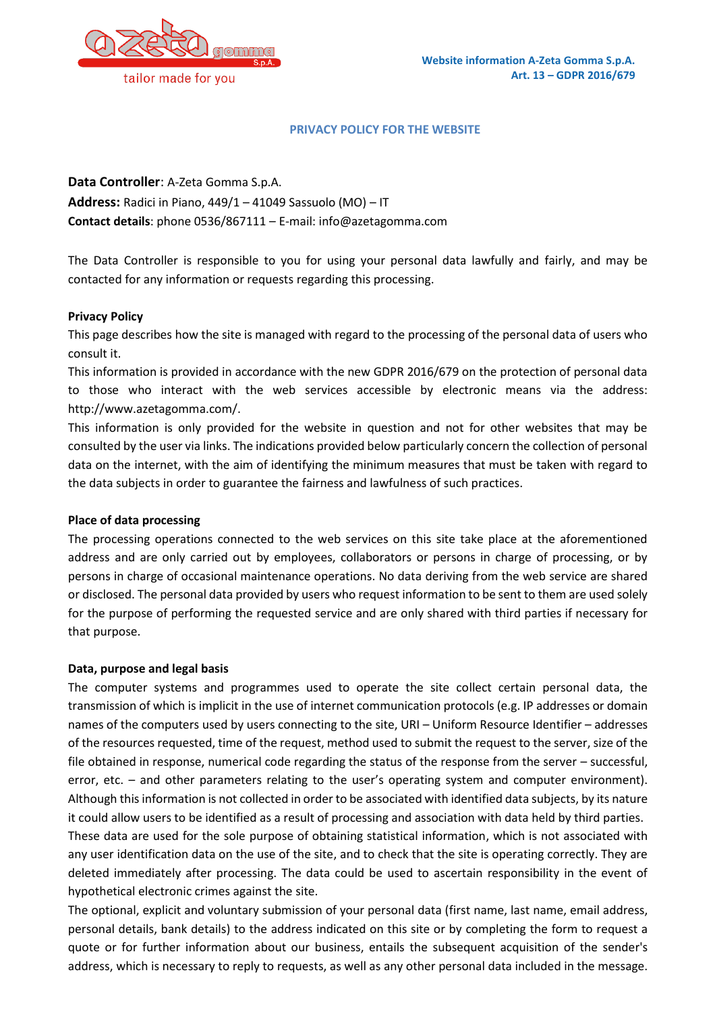#### **PRIVACY POLICY FOR THE WEBSITE**

**Data Controller**: A-Zeta Gomma S.p.A.

**Address:** Radici in Piano, 449/1 – 41049 Sassuolo (MO) – IT **Contact details**: phone 0536/867111 – E-mail: info@azetagomma.com

The Data Controller is responsible to you for using your personal data lawfully and fairly, and may be contacted for any information or requests regarding this processing.

### **Privacy Policy**

This page describes how the site is managed with regard to the processing of the personal data of users who consult it.

This information is provided in accordance with the new GDPR 2016/679 on the protection of personal data to those who interact with the web services accessible by electronic means via the address: [http://www.azetagomma.com/.](http://www.azetagomma.com/)

This information is only provided for the website in question and not for other websites that may be consulted by the user via links. The indications provided below particularly concern the collection of personal data on the internet, with the aim of identifying the minimum measures that must be taken with regard to the data subjects in order to guarantee the fairness and lawfulness of such practices.

### **Place of data processing**

The processing operations connected to the web services on this site take place at the aforementioned address and are only carried out by employees, collaborators or persons in charge of processing, or by persons in charge of occasional maintenance operations. No data deriving from the web service are shared or disclosed. The personal data provided by users who request information to be sent to them are used solely for the purpose of performing the requested service and are only shared with third parties if necessary for that purpose.

### **Data, purpose and legal basis**

The computer systems and programmes used to operate the site collect certain personal data, the transmission of which is implicit in the use of internet communication protocols (e.g. IP addresses or domain names of the computers used by users connecting to the site, URI – Uniform Resource Identifier – addresses of the resources requested, time of the request, method used to submit the request to the server, size of the file obtained in response, numerical code regarding the status of the response from the server – successful, error, etc. – and other parameters relating to the user's operating system and computer environment). Although this information is not collected in order to be associated with identified data subjects, by its nature it could allow users to be identified as a result of processing and association with data held by third parties. These data are used for the sole purpose of obtaining statistical information, which is not associated with any user identification data on the use of the site, and to check that the site is operating correctly. They are deleted immediately after processing. The data could be used to ascertain responsibility in the event of hypothetical electronic crimes against the site.

The optional, explicit and voluntary submission of your personal data (first name, last name, email address, personal details, bank details) to the address indicated on this site or by completing the form to request a quote or for further information about our business, entails the subsequent acquisition of the sender's address, which is necessary to reply to requests, as well as any other personal data included in the message.